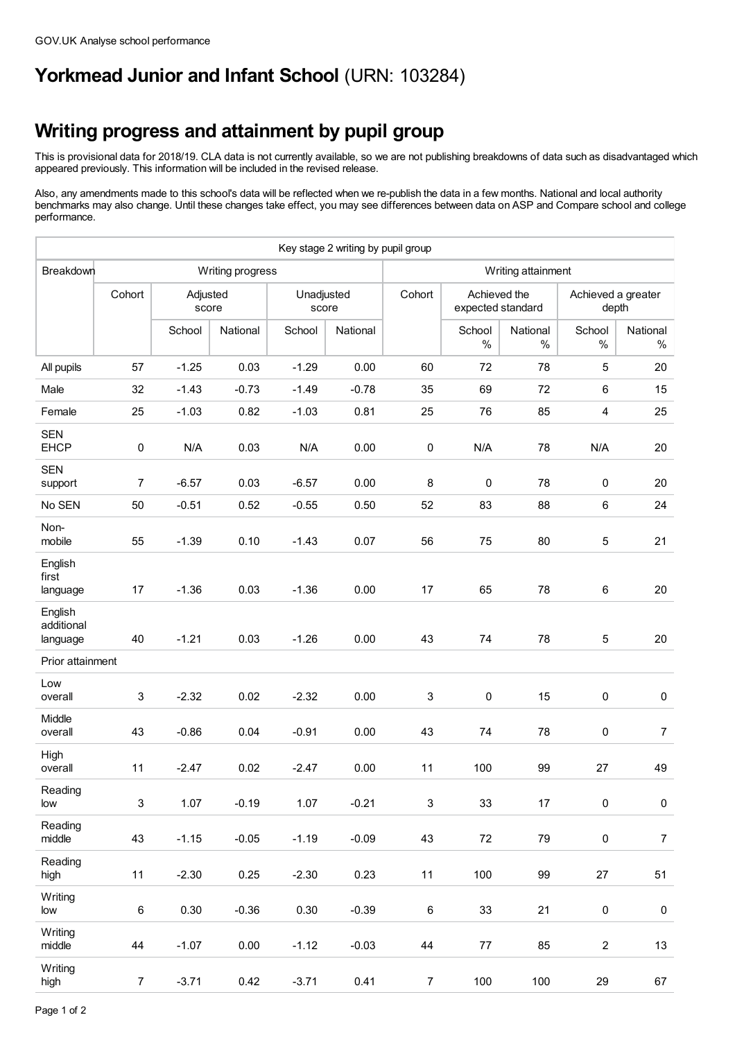## **Yorkmead Junior and Infant School** (URN: 103284)

## **Writing progress and attainment by pupil group**

This is provisional data for 2018/19. CLA data is not currently available, so we are not publishing breakdowns of data such as disadvantaged which appeared previously. This information will be included in the revised release.

Also, any amendments made to this school's data will be reflected when we re-publish the data in a few months. National and local authority benchmarks may also change. Until these changes take effect, you may see differences between data on ASP and Compare school and college performance.

|                                   |                           |                   |          |                     | Key stage 2 writing by pupil group |                           |                                   |                  |                             |                  |  |
|-----------------------------------|---------------------------|-------------------|----------|---------------------|------------------------------------|---------------------------|-----------------------------------|------------------|-----------------------------|------------------|--|
| Breakdown                         | Writing progress          |                   |          |                     |                                    | Writing attainment        |                                   |                  |                             |                  |  |
|                                   | Cohort                    | Adjusted<br>score |          | Unadjusted<br>score |                                    | Cohort                    | Achieved the<br>expected standard |                  | Achieved a greater<br>depth |                  |  |
|                                   |                           | School            | National | School              | National                           |                           | School<br>$\%$                    | National<br>$\%$ | School<br>$\%$              | National<br>$\%$ |  |
| All pupils                        | 57                        | $-1.25$           | 0.03     | $-1.29$             | 0.00                               | 60                        | 72                                | 78               | 5                           | 20               |  |
| Male                              | 32                        | $-1.43$           | $-0.73$  | $-1.49$             | $-0.78$                            | 35                        | 69                                | 72               | 6                           | 15               |  |
| Female                            | 25                        | $-1.03$           | 0.82     | $-1.03$             | 0.81                               | 25                        | 76                                | 85               | $\overline{\mathbf{4}}$     | 25               |  |
| <b>SEN</b><br><b>EHCP</b>         | 0                         | N/A               | 0.03     | N/A                 | 0.00                               | $\pmb{0}$                 | N/A                               | 78               | N/A                         | 20               |  |
| <b>SEN</b><br>support             | $\overline{7}$            | $-6.57$           | 0.03     | $-6.57$             | 0.00                               | 8                         | $\pmb{0}$                         | 78               | 0                           | 20               |  |
| No SEN                            | 50                        | $-0.51$           | 0.52     | $-0.55$             | 0.50                               | 52                        | 83                                | 88               | $\,6\,$                     | 24               |  |
| Non-<br>mobile                    | 55                        | $-1.39$           | 0.10     | $-1.43$             | 0.07                               | 56                        | 75                                | 80               | 5                           | 21               |  |
| English<br>first<br>language      | 17                        | $-1.36$           | 0.03     | $-1.36$             | 0.00                               | 17                        | 65                                | 78               | 6                           | 20               |  |
| English<br>additional<br>language | 40                        | $-1.21$           | 0.03     | $-1.26$             | 0.00                               | 43                        | 74                                | 78               | 5                           | 20               |  |
| Prior attainment                  |                           |                   |          |                     |                                    |                           |                                   |                  |                             |                  |  |
| Low<br>overall                    | 3                         | $-2.32$           | 0.02     | $-2.32$             | 0.00                               | 3                         | $\pmb{0}$                         | 15               | 0                           | 0                |  |
| Middle<br>overall                 | 43                        | $-0.86$           | 0.04     | $-0.91$             | 0.00                               | 43                        | 74                                | 78               | 0                           | 7                |  |
| High<br>overall                   | 11                        | $-2.47$           | 0.02     | $-2.47$             | 0.00                               | 11                        | 100                               | 99               | 27                          | 49               |  |
| Reading<br>low                    | $\ensuremath{\mathsf{3}}$ | 1.07              | $-0.19$  | 1.07                | $-0.21$                            | $\ensuremath{\mathsf{3}}$ | 33                                | $17\,$           | $\pmb{0}$                   | $\pmb{0}$        |  |
| Reading<br>middle                 | 43                        | $-1.15$           | $-0.05$  | $-1.19$             | $-0.09$                            | 43                        | $72\,$                            | 79               | $\pmb{0}$                   | $\overline{7}$   |  |
| Reading<br>high                   | 11                        | $-2.30$           | 0.25     | $-2.30$             | 0.23                               | 11                        | 100                               | 99               | $27\,$                      | $51$             |  |
| Writing<br>low                    | 6                         | 0.30              | $-0.36$  | 0.30                | $-0.39$                            | $\,6\,$                   | 33                                | 21               | $\pmb{0}$                   | $\pmb{0}$        |  |
| Writing<br>middle                 | 44                        | $-1.07$           | 0.00     | $-1.12$             | $-0.03$                            | 44                        | $77 \,$                           | 85               | $\overline{a}$              | 13               |  |
| Writing<br>high                   | $\overline{7}$            | $-3.71$           | 0.42     | $-3.71$             | 0.41                               | $\overline{7}$            | 100                               | 100              | 29                          | 67               |  |